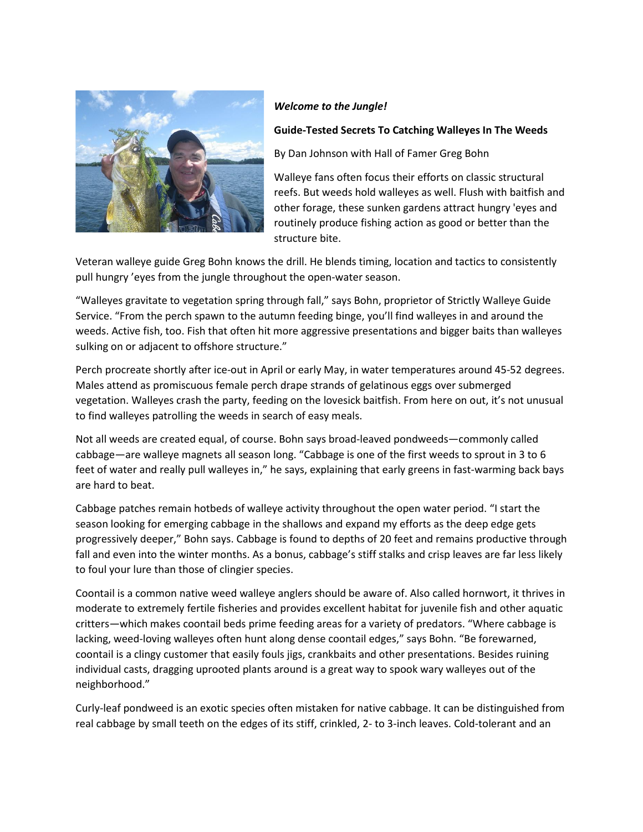

## *Welcome to the Jungle!*

## **Guide-Tested Secrets To Catching Walleyes In The Weeds**

By Dan Johnson with Hall of Famer Greg Bohn

Walleye fans often focus their efforts on classic structural reefs. But weeds hold walleyes as well. Flush with baitfish and other forage, these sunken gardens attract hungry 'eyes and routinely produce fishing action as good or better than the structure bite.

Veteran walleye guide Greg Bohn knows the drill. He blends timing, location and tactics to consistently pull hungry 'eyes from the jungle throughout the open-water season.

"Walleyes gravitate to vegetation spring through fall," says Bohn, proprietor of Strictly Walleye Guide Service. "From the perch spawn to the autumn feeding binge, you'll find walleyes in and around the weeds. Active fish, too. Fish that often hit more aggressive presentations and bigger baits than walleyes sulking on or adjacent to offshore structure."

Perch procreate shortly after ice-out in April or early May, in water temperatures around 45-52 degrees. Males attend as promiscuous female perch drape strands of gelatinous eggs over submerged vegetation. Walleyes crash the party, feeding on the lovesick baitfish. From here on out, it's not unusual to find walleyes patrolling the weeds in search of easy meals.

Not all weeds are created equal, of course. Bohn says broad-leaved pondweeds—commonly called cabbage—are walleye magnets all season long. "Cabbage is one of the first weeds to sprout in 3 to 6 feet of water and really pull walleyes in," he says, explaining that early greens in fast-warming back bays are hard to beat.

Cabbage patches remain hotbeds of walleye activity throughout the open water period. "I start the season looking for emerging cabbage in the shallows and expand my efforts as the deep edge gets progressively deeper," Bohn says. Cabbage is found to depths of 20 feet and remains productive through fall and even into the winter months. As a bonus, cabbage's stiff stalks and crisp leaves are far less likely to foul your lure than those of clingier species.

Coontail is a common native weed walleye anglers should be aware of. Also called hornwort, it thrives in moderate to extremely fertile fisheries and provides excellent habitat for juvenile fish and other aquatic critters—which makes coontail beds prime feeding areas for a variety of predators. "Where cabbage is lacking, weed-loving walleyes often hunt along dense coontail edges," says Bohn. "Be forewarned, coontail is a clingy customer that easily fouls jigs, crankbaits and other presentations. Besides ruining individual casts, dragging uprooted plants around is a great way to spook wary walleyes out of the neighborhood."

Curly-leaf pondweed is an exotic species often mistaken for native cabbage. It can be distinguished from real cabbage by small teeth on the edges of its stiff, crinkled, 2- to 3-inch leaves. Cold-tolerant and an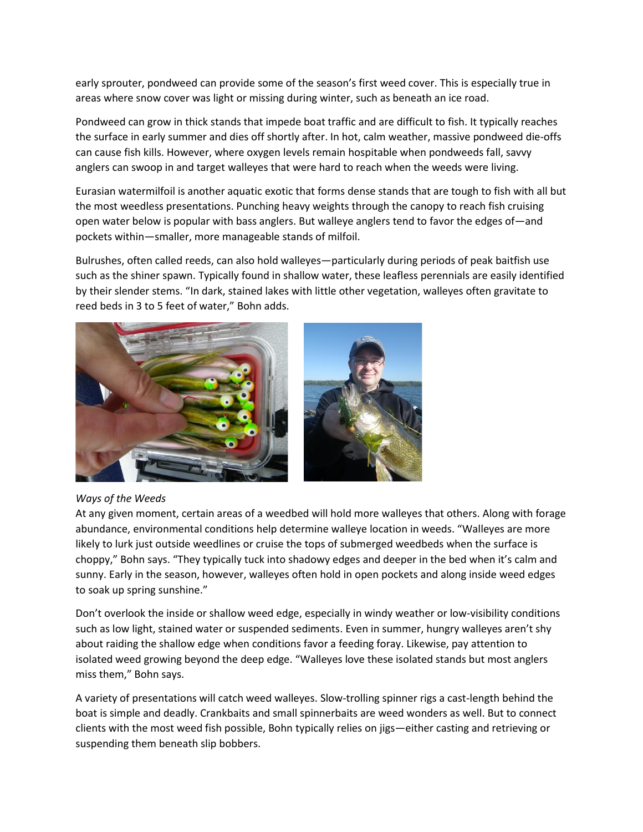early sprouter, pondweed can provide some of the season's first weed cover. This is especially true in areas where snow cover was light or missing during winter, such as beneath an ice road.

Pondweed can grow in thick stands that impede boat traffic and are difficult to fish. It typically reaches the surface in early summer and dies off shortly after. In hot, calm weather, massive pondweed die-offs can cause fish kills. However, where oxygen levels remain hospitable when pondweeds fall, savvy anglers can swoop in and target walleyes that were hard to reach when the weeds were living.

Eurasian watermilfoil is another aquatic exotic that forms dense stands that are tough to fish with all but the most weedless presentations. Punching heavy weights through the canopy to reach fish cruising open water below is popular with bass anglers. But walleye anglers tend to favor the edges of—and pockets within—smaller, more manageable stands of milfoil.

Bulrushes, often called reeds, can also hold walleyes—particularly during periods of peak baitfish use such as the shiner spawn. Typically found in shallow water, these leafless perennials are easily identified by their slender stems. "In dark, stained lakes with little other vegetation, walleyes often gravitate to reed beds in 3 to 5 feet of water," Bohn adds.



## *Ways of the Weeds*

At any given moment, certain areas of a weedbed will hold more walleyes that others. Along with forage abundance, environmental conditions help determine walleye location in weeds. "Walleyes are more likely to lurk just outside weedlines or cruise the tops of submerged weedbeds when the surface is choppy," Bohn says. "They typically tuck into shadowy edges and deeper in the bed when it's calm and sunny. Early in the season, however, walleyes often hold in open pockets and along inside weed edges to soak up spring sunshine."

Don't overlook the inside or shallow weed edge, especially in windy weather or low-visibility conditions such as low light, stained water or suspended sediments. Even in summer, hungry walleyes aren't shy about raiding the shallow edge when conditions favor a feeding foray. Likewise, pay attention to isolated weed growing beyond the deep edge. "Walleyes love these isolated stands but most anglers miss them," Bohn says.

A variety of presentations will catch weed walleyes. Slow-trolling spinner rigs a cast-length behind the boat is simple and deadly. Crankbaits and small spinnerbaits are weed wonders as well. But to connect clients with the most weed fish possible, Bohn typically relies on jigs—either casting and retrieving or suspending them beneath slip bobbers.